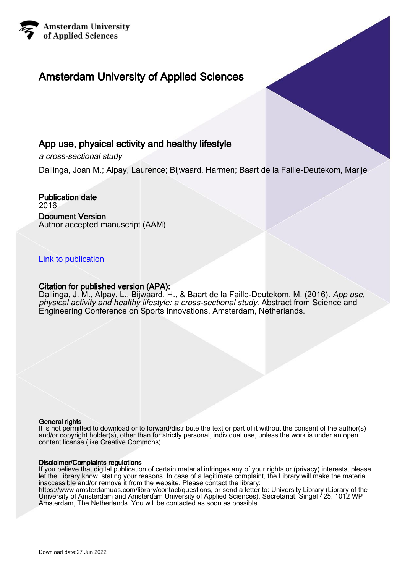

# Amsterdam University of Applied Sciences

# App use, physical activity and healthy lifestyle

a cross-sectional study

Dallinga, Joan M.; Alpay, Laurence; Bijwaard, Harmen; Baart de la Faille-Deutekom, Marije

Publication date 2016 Document Version Author accepted manuscript (AAM)

### [Link to publication](https://research.hva.nl/en/publications/563b1ac7-8ce1-44cc-9510-eae56734c3dd)

### Citation for published version (APA):

Dallinga, J. M., Alpay, L., Bijwaard, H., & Baart de la Faille-Deutekom, M. (2016). App use, physical activity and healthy lifestyle: a cross-sectional study. Abstract from Science and Engineering Conference on Sports Innovations, Amsterdam, Netherlands.

#### General rights

It is not permitted to download or to forward/distribute the text or part of it without the consent of the author(s) and/or copyright holder(s), other than for strictly personal, individual use, unless the work is under an open content license (like Creative Commons).

#### Disclaimer/Complaints regulations

If you believe that digital publication of certain material infringes any of your rights or (privacy) interests, please let the Library know, stating your reasons. In case of a legitimate complaint, the Library will make the material inaccessible and/or remove it from the website. Please contact the library:

https://www.amsterdamuas.com/library/contact/questions, or send a letter to: University Library (Library of the University of Amsterdam and Amsterdam University of Applied Sciences), Secretariat, Singel 425, 1012 WP Amsterdam, The Netherlands. You will be contacted as soon as possible.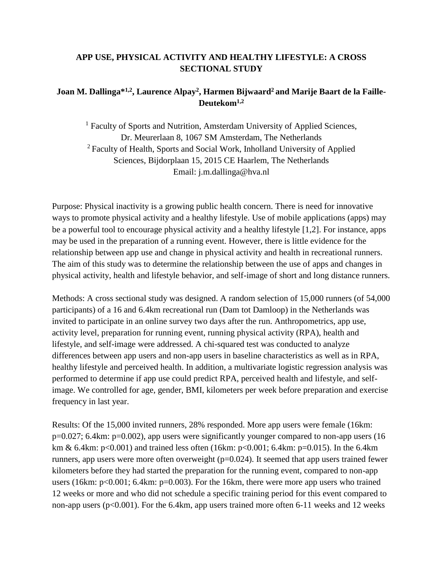### **APP USE, PHYSICAL ACTIVITY AND HEALTHY LIFESTYLE: A CROSS SECTIONAL STUDY**

## **Joan M. Dallinga\*1,2, Laurence Alpay<sup>2</sup> , Harmen Bijwaard2 and Marije Baart de la Faille-Deutekom1,2**

<sup>1</sup> Faculty of Sports and Nutrition, Amsterdam University of Applied Sciences, Dr. Meurerlaan 8, 1067 SM Amsterdam, The Netherlands <sup>2</sup>Faculty of Health, Sports and Social Work, Inholland University of Applied Sciences, Bijdorplaan 15, 2015 CE Haarlem, The Netherlands Email: j.m.dallinga@hva.nl

Purpose: Physical inactivity is a growing public health concern. There is need for innovative ways to promote physical activity and a healthy lifestyle. Use of mobile applications (apps) may be a powerful tool to encourage physical activity and a healthy lifestyle [1,2]. For instance, apps may be used in the preparation of a running event. However, there is little evidence for the relationship between app use and change in physical activity and health in recreational runners. The aim of this study was to determine the relationship between the use of apps and changes in physical activity, health and lifestyle behavior, and self-image of short and long distance runners.

Methods: A cross sectional study was designed. A random selection of 15,000 runners (of 54,000 participants) of a 16 and 6.4km recreational run (Dam tot Damloop) in the Netherlands was invited to participate in an online survey two days after the run. Anthropometrics, app use, activity level, preparation for running event, running physical activity (RPA), health and lifestyle, and self-image were addressed. A chi-squared test was conducted to analyze differences between app users and non-app users in baseline characteristics as well as in RPA, healthy lifestyle and perceived health. In addition, a multivariate logistic regression analysis was performed to determine if app use could predict RPA, perceived health and lifestyle, and selfimage. We controlled for age, gender, BMI, kilometers per week before preparation and exercise frequency in last year.

Results: Of the 15,000 invited runners, 28% responded. More app users were female (16km: p=0.027; 6.4km: p=0.002), app users were significantly younger compared to non-app users (16 km & 6.4km:  $p<0.001$  and trained less often (16km:  $p<0.001$ ; 6.4km:  $p=0.015$ ). In the 6.4km runners, app users were more often overweight  $(p=0.024)$ . It seemed that app users trained fewer kilometers before they had started the preparation for the running event, compared to non-app users (16km: p<0.001; 6.4km: p=0.003). For the 16km, there were more app users who trained 12 weeks or more and who did not schedule a specific training period for this event compared to non-app users (p<0.001). For the 6.4km, app users trained more often 6-11 weeks and 12 weeks